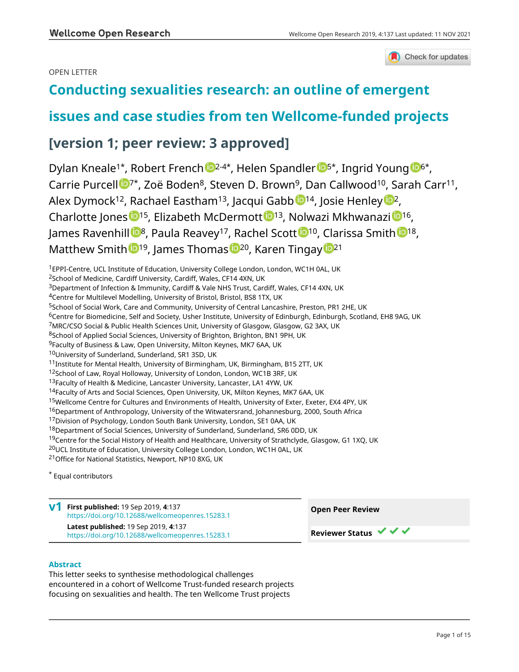### OPEN LETTER



# **[Conducting sexualities research: an outline of emergent](https://wellcomeopenresearch.org/articles/4-137/v1)**

## **[issues and case studies from ten Wellcome-funded projects](https://wellcomeopenresearch.org/articles/4-137/v1)**

## **[version 1; peer review: 3 approved]**

Dylan Kneale<sup>1\*</sup>, Robert French <sup>12-4\*</sup>, Helen Spandler <sup>154</sup>, Ingrid Young <sup>1[6](https://orcid.org/0000-0002-1242-5992)6\*</sup>, Carrie Purce[l](https://orcid.org/0000-0002-2651-9201)l  $\mathbb{D}^{7*}$ , Zoë Boden<sup>8</sup>, Steven D. Brown<sup>9</sup>, Dan Callwood<sup>10</sup>, Sarah Carr<sup>11</sup>, Alex Dymock<sup>[1](https://orcid.org/0000-0002-5366-5300)2</sup>, Rachael Eastham<sup>13</sup>, Jacqui Gabb<sup>14</sup>, Josie Henley<sup>12</sup>, Charlotte Jones <sup>[1](https://orcid.org/0000-0003-3245-2557)5</sup>, Elizabeth McDermott <sup>15</sup>, Nolwazi Mkhwanazi <sup>15</sup>, James Raven[h](https://orcid.org/0000-0002-0046-8733)ill  $\mathbb{D}^8$  $\mathbb{D}^8$  $\mathbb{D}^8$ , Paula Reavey<sup>17</sup>, Rachel Scott  $\mathbb{D}^{10}$ , Clarissa Smith  $\mathbb{D}^{18}$ , Matt[h](https://orcid.org/0000-0002-9267-2124)ew Smith <sup>19</sup>, James Thomas <sup>1920</sup>, Karen Tinga[y](https://orcid.org/0000-0002-0257-9365) <sup>1921</sup>

<sup>1</sup>EPPI-Centre, UCL Institute of Education, University College London, London, WC1H 0AL, UK

<sup>2</sup>School of Medicine, Cardiff University, Cardiff, Wales, CF14 4XN, UK

<sup>3</sup>Department of Infection & Immunity, Cardiff & Vale NHS Trust, Cardiff, Wales, CF14 4XN, UK

<sup>4</sup>Centre for Multilevel Modelling, University of Bristol, Bristol, BS8 1TX, UK

<sup>6</sup>Centre for Biomedicine, Self and Society, Usher Institute, University of Edinburgh, Edinburgh, Scotland, EH8 9AG, UK

<sup>7</sup>MRC/CSO Social & Public Health Sciences Unit, University of Glasgow, Glasgow, G2 3AX, UK

8School of Applied Social Sciences, University of Brighton, Brighton, BN1 9PH, UK

<sup>9</sup>Faculty of Business & Law, Open University, Milton Keynes, MK7 6AA, UK

<sup>10</sup>University of Sunderland, Sunderland, SR1 3SD, UK

<sup>11</sup>Institute for Mental Health, University of Birmingham, UK, Birmingham, B15 2TT, UK

12School of Law, Royal Holloway, University of London, London, WC1B 3RF, UK

<sup>15</sup>Wellcome Centre for Cultures and Environments of Health, University of Exter, Exeter, EX4 4PY, UK

 $16$ Department of Anthropology, University of the Witwatersrand, Johannesburg, 2000, South Africa

<sup>17</sup>Division of Psychology, London South Bank University, London, SE1 0AA, UK

18Department of Social Sciences, University of Sunderland, Sunderland, SR6 0DD, UK

<sup>19</sup>Centre for the Social History of Health and Healthcare, University of Strathclyde, Glasgow, G1 1XQ, UK

<sup>20</sup>UCL Institute of Education, University College London, London, WC1H 0AL, UK

<sup>21</sup>Office for National Statistics, Newport, NP10 8XG, UK

\* Equal contributors

**First published:** 19 Sep 2019, **4**:137 **v1** <https://doi.org/10.12688/wellcomeopenres.15283.1> **Latest published:** 19 Sep 2019, **4**:137 <https://doi.org/10.12688/wellcomeopenres.15283.1>

### **Abstract**

This letter seeks to synthesise methodological challenges encountered in a cohort of Wellcome Trust-funded research projects focusing on sexualities and health. The ten Wellcome Trust projects



**Reviewer Status ▼ ▼** 

<sup>5</sup>School of Social Work, Care and Community, University of Central Lancashire, Preston, PR1 2HE, UK

<sup>13</sup>Faculty of Health & Medicine, Lancaster University, Lancaster, LA1 4YW, UK

<sup>&</sup>lt;sup>14</sup>Faculty of Arts and Social Sciences, Open University, UK, Milton Keynes, MK7 6AA, UK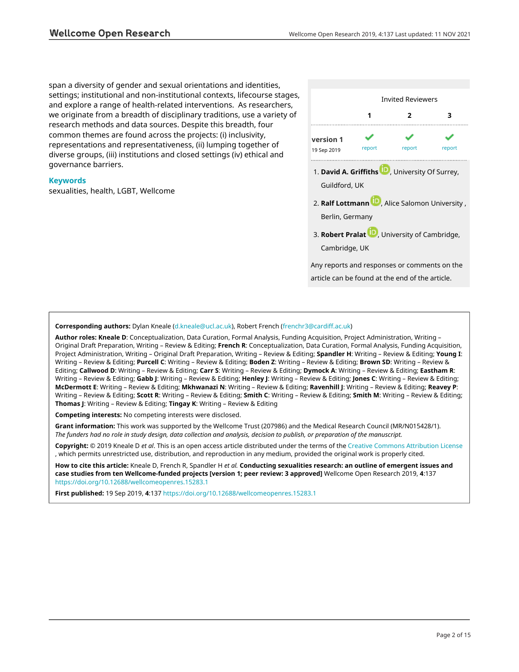span a diversity of gender and sexual orientations and identities, settings; institutional and non-institutional contexts, lifecourse stages, and explore a range of health-related interventions. As researchers, we originate from a breadth of disciplinary traditions, use a variety of research methods and data sources. Despite this breadth, four common themes are found across the projects: (i) inclusivity, representations and representativeness, (ii) lumping together of diverse groups, (iii) institutions and closed settings (iv) ethical and governance barriers.

### **Keywords**

sexualities, health, LGBT, Wellcome



### **Corresponding authors:** Dylan Kneale [\(d.kneale@ucl.ac.uk](mailto:d.kneale@ucl.ac.uk)), Robert French ([frenchr3@cardiff.ac.uk\)](mailto:frenchr3@cardiff.ac.uk)

**Author roles: Kneale D**: Conceptualization, Data Curation, Formal Analysis, Funding Acquisition, Project Administration, Writing – Original Draft Preparation, Writing – Review & Editing; **French R**: Conceptualization, Data Curation, Formal Analysis, Funding Acquisition, Project Administration, Writing – Original Draft Preparation, Writing – Review & Editing; **Spandler H**: Writing – Review & Editing; **Young I**: Writing – Review & Editing; **Purcell C**: Writing – Review & Editing; **Boden Z**: Writing – Review & Editing; **Brown SD**: Writing – Review & Editing; **Callwood D**: Writing – Review & Editing; **Carr S**: Writing – Review & Editing; **Dymock A**: Writing – Review & Editing; **Eastham R**: Writing – Review & Editing; **Gabb J**: Writing – Review & Editing; **Henley J**: Writing – Review & Editing; **Jones C**: Writing – Review & Editing; **McDermott E**: Writing – Review & Editing; **Mkhwanazi N**: Writing – Review & Editing; **Ravenhill J**: Writing – Review & Editing; **Reavey P**: Writing – Review & Editing; **Scott R**: Writing – Review & Editing; **Smith C**: Writing – Review & Editing; **Smith M**: Writing – Review & Editing; **Thomas J**: Writing – Review & Editing; **Tingay K**: Writing – Review & Editing

**Competing interests:** No competing interests were disclosed.

**Grant information:** This work was supported by the Wellcome Trust (207986) and the Medical Research Council (MR/N015428/1). *The funders had no role in study design, data collection and analysis, decision to publish, or preparation of the manuscript.*

**Copyright:** © 2019 Kneale D *et al*. This is an open access article distributed under the terms of the [Creative Commons Attribution License](http://creativecommons.org/licenses/by/4.0/) , which permits unrestricted use, distribution, and reproduction in any medium, provided the original work is properly cited.

**How to cite this article:** Kneale D, French R, Spandler H *et al.* **Conducting sexualities research: an outline of emergent issues and case studies from ten Wellcome-funded projects [version 1; peer review: 3 approved]** Wellcome Open Research 2019, **4**:137 <https://doi.org/10.12688/wellcomeopenres.15283.1>

**First published:** 19 Sep 2019, **4**:137 <https://doi.org/10.12688/wellcomeopenres.15283.1>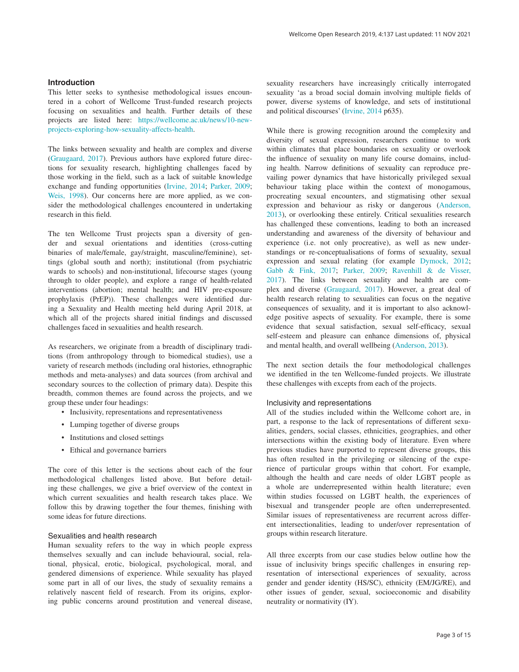### **Introduction**

This letter seeks to synthesise methodological issues encountered in a cohort of Wellcome Trust-funded research projects focusing on sexualities and health. Further details of these projects are listed here: [https://wellcome.ac.uk/news/10-new](https://wellcome.ac.uk/news/10-new-projects-exploring-how-sexuality-affects-health)[projects-exploring-how-sexuality-affects-health.](https://wellcome.ac.uk/news/10-new-projects-exploring-how-sexuality-affects-health)

The links between sexuality and health are complex and diverse ([Graugaard, 2017\)](#page-8-0). Previous authors have explored future directions for sexuality research, highlighting challenges faced by those working in the field, such as a lack of suitable knowledge exchange and funding opportunities ([Irvine, 2014; Parker, 2009;](#page-8-0)  [Weis, 1998](#page-8-0)). Our concerns here are more applied, as we consider the methodological challenges encountered in undertaking research in this field.

The ten Wellcome Trust projects span a diversity of gender and sexual orientations and identities (cross-cutting binaries of male/female, gay/straight, masculine/feminine), settings (global south and north); institutional (from psychiatric wards to schools) and non-institutional, lifecourse stages (young through to older people), and explore a range of health-related interventions (abortion; mental health; and HIV pre-exposure prophylaxis (PrEP)). These challenges were identified during a Sexuality and Health meeting held during April 2018, at which all of the projects shared initial findings and discussed challenges faced in sexualities and health research.

As researchers, we originate from a breadth of disciplinary traditions (from anthropology through to biomedical studies), use a variety of research methods (including oral histories, ethnographic methods and meta-analyses) and data sources (from archival and secondary sources to the collection of primary data). Despite this breadth, common themes are found across the projects, and we group these under four headings:

- Inclusivity, representations and representativeness
- Lumping together of diverse groups
- Institutions and closed settings
- Ethical and governance barriers

The core of this letter is the sections about each of the four methodological challenges listed above. But before detailing these challenges, we give a brief overview of the context in which current sexualities and health research takes place. We follow this by drawing together the four themes, finishing with some ideas for future directions.

### Sexualities and health research

Human sexuality refers to the way in which people express themselves sexually and can include behavioural, social, relational, physical, erotic, biological, psychological, moral, and gendered dimensions of experience. While sexuality has played some part in all of our lives, the study of sexuality remains a relatively nascent field of research. From its origins, exploring public concerns around prostitution and venereal disease, sexuality researchers have increasingly critically interrogated sexuality 'as a broad social domain involving multiple fields of power, diverse systems of knowledge, and sets of institutional and political discourses' ([Irvine, 2014](#page-8-0) p635).

While there is growing recognition around the complexity and diversity of sexual expression, researchers continue to work within climates that place boundaries on sexuality or overlook the influence of sexuality on many life course domains, including health. Narrow definitions of sexuality can reproduce prevailing power dynamics that have historically privileged sexual behaviour taking place within the context of monogamous, procreating sexual encounters, and stigmatising other sexual expression and behaviour as risky or dangerous [\(Anderson,](#page-8-0)  [2013\)](#page-8-0), or overlooking these entirely. Critical sexualities research has challenged these conventions, leading to both an increased understanding and awareness of the diversity of behaviour and experience (i.e. not only procreative), as well as new understandings or re-conceptualisations of forms of sexuality, sexual expression and sexual relating (for example [Dymock, 2012](#page-8-0); [Gabb & Fink, 2017; Parker, 2009; Ravenhill & de Visser,](#page-8-0)  [2017\)](#page-8-0). The links between sexuality and health are complex and diverse ([Graugaard, 2017](#page-8-0)). However, a great deal of health research relating to sexualities can focus on the negative consequences of sexuality, and it is important to also acknowledge positive aspects of sexuality. For example, there is some evidence that sexual satisfaction, sexual self-efficacy, sexual self-esteem and pleasure can enhance dimensions of, physical and mental health, and overall wellbeing [\(Anderson, 2013\)](#page-8-0).

The next section details the four methodological challenges we identified in the ten Wellcome-funded projects. We illustrate these challenges with excepts from each of the projects.

### Inclusivity and representations

All of the studies included within the Wellcome cohort are, in part, a response to the lack of representations of different sexualities, genders, social classes, ethnicities, geographies, and other intersections within the existing body of literature. Even where previous studies have purported to represent diverse groups, this has often resulted in the privileging or silencing of the experience of particular groups within that cohort. For example, although the health and care needs of older LGBT people as a whole are underrepresented within health literature; even within studies focussed on LGBT health, the experiences of bisexual and transgender people are often underrepresented. Similar issues of representativeness are recurrent across different intersectionalities, leading to under/over representation of groups within research literature.

All three excerpts from our case studies below outline how the issue of inclusivity brings specific challenges in ensuring representation of intersectional experiences of sexuality, across gender and gender identity (HS/SC), ethnicity (EM/JG/RE), and other issues of gender, sexual, socioeconomic and disability neutrality or normativity (IY).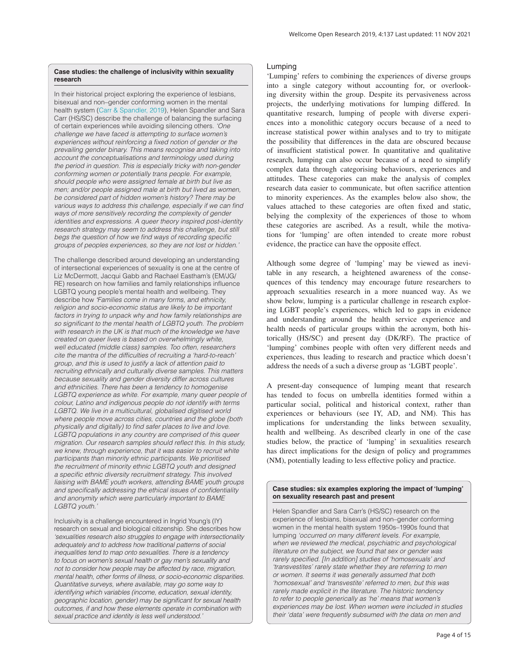### **Case studies: the challenge of inclusivity within sexuality research**

In their historical project exploring the experience of lesbians, bisexual and non–gender conforming women in the mental health system ([Carr & Spandler, 2019](#page-8-0)), Helen Spandler and Sara Carr (HS/SC) describe the challenge of balancing the surfacing of certain experiences while avoiding silencing others. *'One challenge we have faced is attempting to surface women's experiences without reinforcing a fixed notion of gender or the prevailing gender binary. This means recognise and taking into account the conceptualisations and terminology used during the period in question. This is especially tricky with non-gender conforming women or potentially trans people. For example, should people who were assigned female at birth but live as men; and/or people assigned male at birth but lived as women, be considered part of hidden women's history? There may be various ways to address this challenge, especially if we can find ways of more sensitively recording the complexity of gender identities and expressions. A queer theory inspired post-identity research strategy may seem to address this challenge, but still begs the question of how we find ways of recording specific groups of peoples experiences, so they are not lost or hidden.'* 

The challenge described around developing an understanding of intersectional experiences of sexuality is one at the centre of Liz McDermott, Jacqui Gabb and Rachael Eastham's (EM/JG/ RE) research on how families and family relationships influence LGBTQ young people's mental health and wellbeing. They describe how *'Families come in many forms, and ethnicity, religion and socio-economic status are likely to be important factors in trying to unpack why and how family relationships are so significant to the mental health of LGBTQ youth. The problem with research in the UK is that much of the knowledge we have created on queer lives is based on overwhelmingly white, well educated (middle class) samples. Too often, researchers cite the mantra of the difficulties of recruiting a 'hard-to-reach' group, and this is used to justify a lack of attention paid to recruiting ethnically and culturally diverse samples. This matters because sexuality and gender diversity differ across cultures and ethnicities. There has been a tendency to homogenise*  LGBTQ experience as white. For example, many queer people of *colour, Latino and indigenous people do not identify with terms LGBTQ. We live in a multicultural, globalised digitised world where people move across cities, countries and the globe (both physically and digitally) to find safer places to live and love. LGBTQ populations in any country are comprised of this queer migration. Our research samples should reflect this. In this study, we knew, through experience, that it was easier to recruit white participants than minority ethnic participants. We prioritised the recruitment of minority ethnic LGBTQ youth and designed a specific ethnic diversity recruitment strategy. This involved liaising with BAME youth workers, attending BAME youth groups and specifically addressing the ethical issues of confidentiality and anonymity which were particularly important to BAME LGBTQ youth.'*

Inclusivity is a challenge encountered in Ingrid Young's (IY) research on sexual and biological citizenship. She describes how *'sexualities research also struggles to engage with intersectionality adequately and to address how traditional patterns of social inequalities tend to map onto sexualities. There is a tendency to focus on women's sexual health or gay men's sexuality and not to consider how people may be affected by race, migration, mental health, other forms of illness, or socio-economic disparities. Quantitative surveys, where available, may go some way to identifying which variables (income, education, sexual identity, geographic location, gender) may be significant for sexual health outcomes, if and how these elements operate in combination with sexual practice and identity is less well understood.'* 

### Lumping

'Lumping' refers to combining the experiences of diverse groups into a single category without accounting for, or overlooking diversity within the group. Despite its pervasiveness across projects, the underlying motivations for lumping differed. In quantitative research, lumping of people with diverse experiences into a monolithic category occurs because of a need to increase statistical power within analyses and to try to mitigate the possibility that differences in the data are obscured because of insufficient statistical power. In quantitative and qualitative research, lumping can also occur because of a need to simplify complex data through categorising behaviours, experiences and attitudes. These categories can make the analysis of complex research data easier to communicate, but often sacrifice attention to minority experiences. As the examples below also show, the values attached to these categories are often fixed and static, belying the complexity of the experiences of those to whom these categories are ascribed. As a result, while the motivations for 'lumping' are often intended to create more robust evidence, the practice can have the opposite effect.

Although some degree of 'lumping' may be viewed as inevitable in any research, a heightened awareness of the consequences of this tendency may encourage future researchers to approach sexualities research in a more nuanced way. As we show below, lumping is a particular challenge in research exploring LGBT people's experiences, which led to gaps in evidence and understanding around the health service experience and health needs of particular groups within the acronym, both historically (HS/SC) and present day (DK/RF). The practice of 'lumping' combines people with often very different needs and experiences, thus leading to research and practice which doesn't address the needs of a such a diverse group as 'LGBT people'.

A present-day consequence of lumping meant that research has tended to focus on umbrella identities formed within a particular social, political and historical context, rather than experiences or behaviours (see IY, AD, and NM). This has implications for understanding the links between sexuality, health and wellbeing. As described clearly in one of the case studies below, the practice of 'lumping' in sexualities research has direct implications for the design of policy and programmes (NM), potentially leading to less effective policy and practice.

**Case studies: six examples exploring the impact of 'lumping' on sexuality research past and present**

Helen Spandler and Sara Carr's (HS/SC) research on the experience of lesbians, bisexual and non–gender conforming women in the mental health system 1950s–1990s found that lumping *'occurred on many different levels. For example, when we reviewed the medical, psychiatric and psychological literature on the subject, we found that sex or gender was rarely specified. [In addition] studies of 'homosexuals' and 'transvestites' rarely state whether they are referring to men or women. It seems it was generally assumed that both 'homosexual' and 'transvestite' referred to men, but this was rarely made explicit in the literature. The historic tendency to refer to people generically as 'he' means that women's experiences may be lost. When women were included in studies their 'data' were frequently subsumed with the data on men and*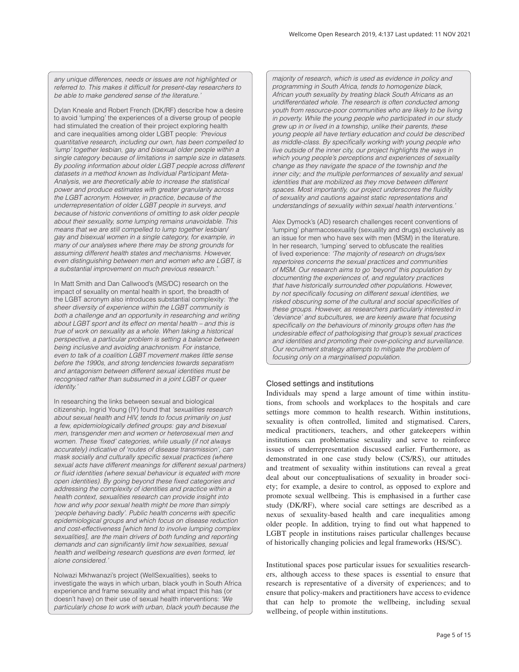*any unique differences, needs or issues are not highlighted or referred to. This makes it difficult for present-day researchers to be able to make gendered sense of the literature.'* 

Dylan Kneale and Robert French (DK/RF) describe how a desire to avoid 'lumping' the experiences of a diverse group of people had stimulated the creation of their project exploring health and care inequalities among older LGBT people: *'Previous quantitative research, including our own, has been compelled to 'lump' together lesbian, gay and bisexual older people within a single category because of limitations in sample size in datasets. By pooling information about older LGBT people across different datasets in a method known as Individual Participant Meta-Analysis, we are theoretically able to increase the statistical power and produce estimates with greater granularity across the LGBT acronym. However, in practice, because of the underrepresentation of older LGBT people in surveys, and because of historic conventions of omitting to ask older people about their sexuality, some lumping remains unavoidable. This means that we are still compelled to lump together lesbian/ gay and bisexual women in a single category, for example, in many of our analyses where there may be strong grounds for assuming different health states and mechanisms. However, even distinguishing between men and women who are LGBT, is a substantial improvement on much previous research.'* 

In Matt Smith and Dan Callwood's (MS/DC) research on the impact of sexuality on mental health in sport, the breadth of the LGBT acronym also introduces substantial complexity: *'the sheer diversity of experience within the LGBT community is both a challenge and an opportunity in researching and writing about LGBT sport and its effect on mental health – and this is true of work on sexuality as a whole. When taking a historical perspective, a particular problem is setting a balance between being inclusive and avoiding anachronism. For instance, even to talk of a coalition LGBT movement makes little sense before the 1990s, and strong tendencies towards separatism and antagonism between different sexual identities must be recognised rather than subsumed in a joint LGBT or queer identity.'* 

In researching the links between sexual and biological citizenship, Ingrid Young (IY) found that *'sexualities research about sexual health and HIV, tends to focus primarily on just a few, epidemiologically defined groups: gay and bisexual men, transgender men and women or heterosexual men and women. These 'fixed' categories, while usually (if not always accurately) indicative of 'routes of disease transmission', can mask socially and culturally specific sexual practices (where sexual acts have different meanings for different sexual partners) or fluid identities (where sexual behaviour is equated with more open identities). By going beyond these fixed categories and addressing the complexity of identities and practice within a health context, sexualities research can provide insight into how and why poor sexual health might be more than simply 'people behaving badly'. Public health concerns with specific epidemiological groups and which focus on disease reduction and cost-effectiveness [which tend to involve lumping complex sexualities], are the main drivers of both funding and reporting demands and can significantly limit how sexualities, sexual health and wellbeing research questions are even formed, let alone considered.'* 

Nolwazi Mkhwanazi's project (WellSexualities), seeks to investigate the ways in which urban, black youth in South Africa experience and frame sexuality and what impact this has (or doesn't have) on their use of sexual health interventions: *'We particularly chose to work with urban, black youth because the*

*majority of research, which is used as evidence in policy and programming in South Africa, tends to homogenize black, African youth sexuality by treating black South Africans as an undifferentiated whole. The research is often conducted among youth from resource-poor communities who are likely to be living in poverty. While the young people who participated in our study grew up in or lived in a township, unlike their parents, these young people all have tertiary education and could be described as middle-class. By specifically working with young people who live outside of the inner city, our project highlights the ways in which young people's perceptions and experiences of sexuality change as they navigate the space of the township and the inner city; and the multiple performances of sexuality and sexual identities that are mobilized as they move between different spaces. Most importantly, our project underscores the fluidity of sexuality and cautions against static representations and understandings of sexuality within sexual health interventions.'* 

Alex Dymock's (AD) research challenges recent conventions of 'lumping' pharmacosexuality (sexuality and drugs) exclusively as an issue for men who have sex with men (MSM) in the literature. In her research, 'lumping' served to obfuscate the realities of lived experience: *'The majority of research on drugs/sex repertoires concerns the sexual practices and communities of MSM. Our research aims to go 'beyond' this population by documenting the experiences of, and regulatory practices that have historically surrounded other populations. However, by not specifically focusing on different sexual identities, we risked obscuring some of the cultural and social specificities of these groups. However, as researchers particularly interested in 'deviance' and subcultures, we are keenly aware that focusing specifically on the behaviours of minority groups often has the undesirable effect of pathologising that group's sexual practices and identities and promoting their over-policing and surveillance. Our recruitment strategy attempts to mitigate the problem of focusing only on a marginalised population.*

### Closed settings and institutions

Individuals may spend a large amount of time within institutions, from schools and workplaces to the hospitals and care settings more common to health research. Within institutions, sexuality is often controlled, limited and stigmatised. Carers, medical practitioners, teachers, and other gatekeepers within institutions can problematise sexuality and serve to reinforce issues of underrepresentation discussed earlier. Furthermore, as demonstrated in one case study below (CS/RS), our attitudes and treatment of sexuality within institutions can reveal a great deal about our conceptualisations of sexuality in broader society; for example, a desire to control, as opposed to explore and promote sexual wellbeing. This is emphasised in a further case study (DK/RF), where social care settings are described as a nexus of sexuality-based health and care inequalities among older people. In addition, trying to find out what happened to LGBT people in institutions raises particular challenges because of historically changing policies and legal frameworks (HS/SC).

Institutional spaces pose particular issues for sexualities researchers, although access to these spaces is essential to ensure that research is representative of a diversity of experiences; and to ensure that policy-makers and practitioners have access to evidence that can help to promote the wellbeing, including sexual wellbeing, of people within institutions.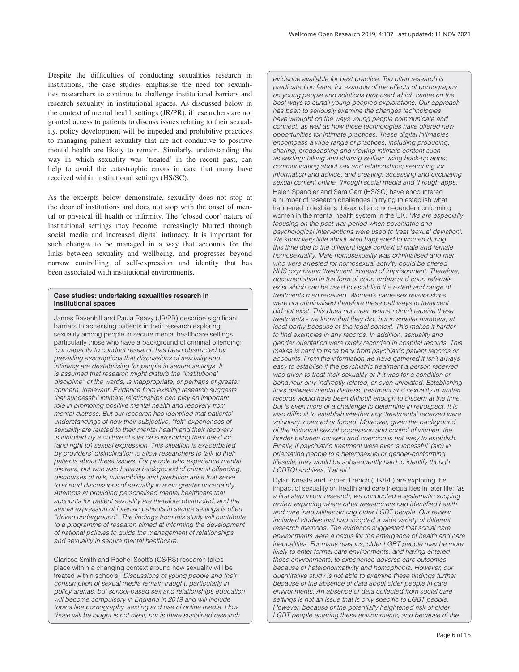Despite the difficulties of conducting sexualities research in institutions, the case studies emphasise the need for sexualities researchers to continue to challenge institutional barriers and research sexuality in institutional spaces. As discussed below in the context of mental health settings (JR/PR), if researchers are not granted access to patients to discuss issues relating to their sexuality, policy development will be impeded and prohibitive practices to managing patient sexuality that are not conducive to positive mental health are likely to remain. Similarly, understanding the way in which sexuality was 'treated' in the recent past, can help to avoid the catastrophic errors in care that many have received within institutional settings (HS/SC).

As the excerpts below demonstrate, sexuality does not stop at the door of institutions and does not stop with the onset of mental or physical ill health or infirmity. The 'closed door' nature of institutional settings may become increasingly blurred through social media and increased digital intimacy. It is important for such changes to be managed in a way that accounts for the links between sexuality and wellbeing, and progresses beyond narrow controlling of self-expression and identity that has been associated with institutional environments.

### **Case studies: undertaking sexualities research in institutional spaces**

James Ravenhill and Paula Reavy (JR/PR) describe significant barriers to accessing patients in their research exploring sexuality among people in secure mental healthcare settings, particularly those who have a background of criminal offending: *'our capacity to conduct research has been obstructed by prevailing assumptions that discussions of sexuality and intimacy are destabilising for people in secure settings. It is assumed that research might disturb the "institutional discipline" of the wards, is inappropriate, or perhaps of greater concern, irrelevant. Evidence from existing research suggests that successful intimate relationships can play an important role in promoting positive mental health and recovery from mental distress. But our research has identified that patients' understandings of how their subjective, "felt" experiences of sexuality are related to their mental health and their recovery is inhibited by a culture of silence surrounding their need for (and right to) sexual expression. This situation is exacerbated by providers' disinclination to allow researchers to talk to their patients about these issues. For people who experience mental distress, but who also have a background of criminal offending, discourses of risk, vulnerability and predation arise that serve to shroud discussions of sexuality in even greater uncertainty. Attempts at providing personalised mental healthcare that accounts for patient sexuality are therefore obstructed, and the sexual expression of forensic patients in secure settings is often "driven underground". The findings from this study will contribute to a programme of research aimed at informing the development of national policies to guide the management of relationships and sexuality in secure mental healthcare.* 

Clarissa Smith and Rachel Scott's (CS/RS) research takes place within a changing context around how sexuality will be treated within schools: *'Discussions of young people and their consumption of sexual media remain fraught, particularly in policy arenas, but school-based sex and relationships education will become compulsory in England in 2019 and will include topics like pornography, sexting and use of online media. How those will be taught is not clear, nor is there sustained research*

*evidence available for best practice. Too often research is predicated on fears, for example of the effects of pornography on young people and solutions proposed which centre on the best ways to curtail young people's explorations. Our approach has been to seriously examine the changes technologies have wrought on the ways young people communicate and connect, as well as how those technologies have offered new opportunities for intimate practices. These digital intimacies encompass a wide range of practices, including producing, sharing, broadcasting and viewing intimate content such as sexting; taking and sharing selfies; using hook-up apps; communicating about sex and relationships; searching for information and advice; and creating, accessing and circulating*  sexual content online, through social media and through apps. Helen Spandler and Sara Carr (HS/SC) have encountered a number of research challenges in trying to establish what happened to lesbians, bisexual and non–gender conforming women in the mental health system in the UK: *'We are especially focusing on the post-war period when psychiatric and psychological interventions were used to treat 'sexual deviation'. We know very little about what happened to women during this time due to the different legal context of male and female homosexuality. Male homosexuality was criminalised and men who were arrested for homosexual activity could be offered NHS psychiatric 'treatment' instead of imprisonment. Therefore, documentation in the form of court orders and court referrals exist which can be used to establish the extent and range of treatments men received. Women's same-sex relationships were not criminalised therefore these pathways to treatment did not exist. This does not mean women didn't receive these treatments - we know that they did, but in smaller numbers, at*  least partly because of this legal context. This makes it harder *to find examples in any records. In addition, sexuality and gender orientation were rarely recorded in hospital records. This makes is hard to trace back from psychiatric patient records or accounts. From the information we have gathered it isn't always easy to establish if the psychiatric treatment a person received was given to treat their sexuality or if it was for a condition or behaviour only indirectly related, or even unrelated. Establishing links between mental distress, treatment and sexuality in written records would have been difficult enough to discern at the time, but is even more of a challenge to determine in retrospect. It is also difficult to establish whether any 'treatments' received were voluntary, coerced or forced. Moreover, given the background of the historical sexual oppression and control of women, the border between consent and coercion is not easy to establish. Finally, if psychiatric treatment were ever 'successful' (sic) in orientating people to a heterosexual or gender-conforming lifestyle, they would be subsequently hard to identify though LGBTQI archives, if at all.'* 

Dylan Kneale and Robert French (DK/RF) are exploring the impact of sexuality on health and care inequalities in later life: *'as a first step in our research, we conducted a systematic scoping review exploring where other researchers had identified health and care inequalities among older LGBT people. Our review included studies that had adopted a wide variety of different research methods. The evidence suggested that social care environments were a nexus for the emergence of health and care inequalities. For many reasons, older LGBT people may be more likely to enter formal care environments, and having entered these environments, to experience adverse care outcomes because of heteronormativity and homophobia. However, our quantitative study is not able to examine these findings further because of the absence of data about older people in care environments. An absence of data collected from social care settings is not an issue that is only specific to LGBT people. However, because of the potentially heightened risk of older LGBT people entering these environments, and because of the*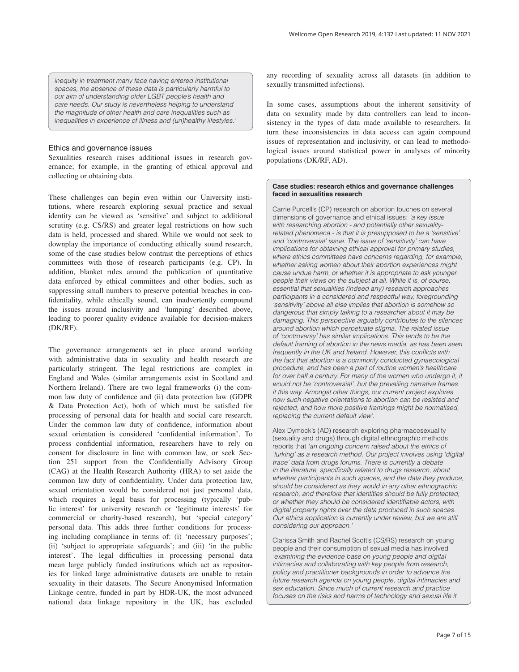*inequity in treatment many face having entered institutional spaces, the absence of these data is particularly harmful to our aim of understanding older LGBT people's health and care needs. Our study is nevertheless helping to understand the magnitude of other health and care inequalities such as inequalities in experience of illness and (un)healthy lifestyles.'* 

### Ethics and governance issues

Sexualities research raises additional issues in research governance; for example, in the granting of ethical approval and collecting or obtaining data.

These challenges can begin even within our University institutions, where research exploring sexual practice and sexual identity can be viewed as 'sensitive' and subject to additional scrutiny (e.g. CS/RS) and greater legal restrictions on how such data is held, processed and shared. While we would not seek to downplay the importance of conducting ethically sound research, some of the case studies below contrast the perceptions of ethics committees with those of research participants (e.g. CP). In addition, blanket rules around the publication of quantitative data enforced by ethical committees and other bodies, such as suppressing small numbers to preserve potential breaches in confidentiality, while ethically sound, can inadvertently compound the issues around inclusivity and 'lumping' described above, leading to poorer quality evidence available for decision-makers (DK/RF).

The governance arrangements set in place around working with administrative data in sexuality and health research are particularly stringent. The legal restrictions are complex in England and Wales (similar arrangements exist in Scotland and Northern Ireland). There are two legal frameworks (i) the common law duty of confidence and (ii) data protection law (GDPR & Data Protection Act), both of which must be satisfied for processing of personal data for health and social care research. Under the common law duty of confidence, information about sexual orientation is considered 'confidential information'. To process confidential information, researchers have to rely on consent for disclosure in line with common law, or seek Section 251 support from the Confidentially Advisory Group (CAG) at the Health Research Authority (HRA) to set aside the common law duty of confidentiality. Under data protection law, sexual orientation would be considered not just personal data, which requires a legal basis for processing (typically 'public interest' for university research or 'legitimate interests' for commercial or charity-based research), but 'special category' personal data. This adds three further conditions for processing including compliance in terms of: (i) 'necessary purposes'; (ii) 'subject to appropriate safeguards'; and (iii) 'in the public interest'. The legal difficulties in processing personal data mean large publicly funded institutions which act as repositories for linked large administrative datasets are unable to retain sexuality in their datasets. The Secure Anonymised Information Linkage centre, funded in part by HDR-UK, the most advanced national data linkage repository in the UK, has excluded any recording of sexuality across all datasets (in addition to sexually transmitted infections).

In some cases, assumptions about the inherent sensitivity of data on sexuality made by data controllers can lead to inconsistency in the types of data made available to researchers. In turn these inconsistencies in data access can again compound issues of representation and inclusivity, or can lead to methodological issues around statistical power in analyses of minority populations (DK/RF, AD).

#### **Case studies: research ethics and governance challenges faced in sexualities research**

Carrie Purcell's (CP) research on abortion touches on several dimensions of governance and ethical issues: *'a key issue with researching abortion - and potentially other sexualityrelated phenomena - is that it is presupposed to be a 'sensitive' and 'controversial' issue. The issue of 'sensitivity' can have implications for obtaining ethical approval for primary studies, where ethics committees have concerns regarding, for example, whether asking women about their abortion experiences might cause undue harm, or whether it is appropriate to ask younger people their views on the subject at all. While it is, of course, essential that sexualities (indeed any) research approaches participants in a considered and respectful way, foregrounding 'sensitivity' above all else implies that abortion is somehow so dangerous that simply talking to a researcher about it may be damaging. This perspective arguably contributes to the silences around abortion which perpetuate stigma. The related issue of 'controversy' has similar implications. This tends to be the default framing of abortion in the news media, as has been seen frequently in the UK and Ireland. However, this conflicts with the fact that abortion is a commonly conducted gynaecological procedure, and has been a part of routine women's healthcare*  for over half a century. For many of the women who undergo it, it *would not be 'controversial', but the prevailing narrative frames it this way. Amongst other things, our current project explores how such negative orientations to abortion can be resisted and rejected, and how more positive framings might be normalised, replacing the current default view'.* 

Alex Dymock's (AD) research exploring pharmacosexuality (sexuality and drugs) through digital ethnographic methods reports that *'an ongoing concern raised about the ethics of 'lurking' as a research method. Our project involves using 'digital trace' data from drugs forums. There is currently a debate in the literature, specifically related to drugs research, about whether participants in such spaces, and the data they produce, should be considered as they would in any other ethnographic research, and therefore that identities should be fully protected; or whether they should be considered identifiable actors, with digital property rights over the data produced in such spaces. Our ethics application is currently under review, but we are still considering our approach.'* 

Clarissa Smith and Rachel Scott's (CS/RS) research on young people and their consumption of sexual media has involved *'examining the evidence base on young people and digital intimacies and collaborating with key people from research, policy and practitioner backgrounds in order to advance the future research agenda on young people, digital intimacies and sex education. Since much of current research and practice focuses on the risks and harms of technology and sexual life it*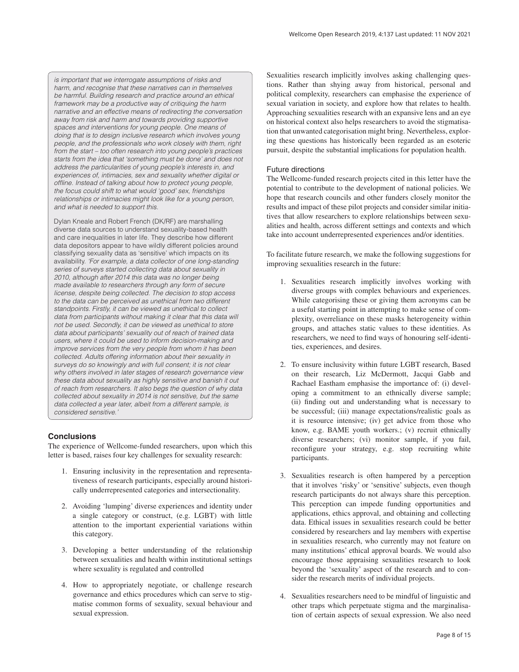*is important that we interrogate assumptions of risks and harm, and recognise that these narratives can in themselves be harmful. Building research and practice around an ethical framework may be a productive way of critiquing the harm narrative and an effective means of redirecting the conversation away from risk and harm and towards providing supportive spaces and interventions for young people. One means of doing that is to design inclusive research which involves young people, and the professionals who work closely with them, right from the start – too often research into young people's practices starts from the idea that 'something must be done' and does not address the particularities of young people's interests in, and experiences of, intimacies, sex and sexuality whether digital or offline. Instead of talking about how to protect young people, the focus could shift to what would 'good' sex, friendships relationships or intimacies might look like for a young person, and what is needed to support this.* 

Dylan Kneale and Robert French (DK/RF) are marshalling diverse data sources to understand sexuality-based health and care inequalities in later life. They describe how different data depositors appear to have wildly different policies around classifying sexuality data as 'sensitive' which impacts on its availability. *'For example, a data collector of one long-standing series of surveys started collecting data about sexuality in 2010, although after 2014 this data was no longer being made available to researchers through any form of secure license, despite being collected. The decision to stop access to the data can be perceived as unethical from two different standpoints. Firstly, it can be viewed as unethical to collect data from participants without making it clear that this data will not be used. Secondly, it can be viewed as unethical to store data about participants' sexuality out of reach of trained data users, where it could be used to inform decision-making and improve services from the very people from whom it has been collected. Adults offering information about their sexuality in surveys do so knowingly and with full consent; it is not clear why others involved in later stages of research governance view these data about sexuality as highly sensitive and banish it out of reach from researchers. It also begs the question of why data collected about sexuality in 2014 is not sensitive, but the same data collected a year later, albeit from a different sample, is considered sensitive.'* 

### **Conclusions**

The experience of Wellcome-funded researchers, upon which this letter is based, raises four key challenges for sexuality research:

- 1. Ensuring inclusivity in the representation and representativeness of research participants, especially around historically underrepresented categories and intersectionality.
- 2. Avoiding 'lumping' diverse experiences and identity under a single category or construct, (e.g. LGBT) with little attention to the important experiential variations within this category.
- 3. Developing a better understanding of the relationship between sexualities and health within institutional settings where sexuality is regulated and controlled
- 4. How to appropriately negotiate, or challenge research governance and ethics procedures which can serve to stigmatise common forms of sexuality, sexual behaviour and sexual expression.

Sexualities research implicitly involves asking challenging questions. Rather than shying away from historical, personal and political complexity, researchers can emphasise the experience of sexual variation in society, and explore how that relates to health. Approaching sexualities research with an expansive lens and an eye on historical context also helps researchers to avoid the stigmatisation that unwanted categorisation might bring. Nevertheless, exploring these questions has historically been regarded as an esoteric pursuit, despite the substantial implications for population health.

### Future directions

The Wellcome-funded research projects cited in this letter have the potential to contribute to the development of national policies. We hope that research councils and other funders closely monitor the results and impact of these pilot projects and consider similar initiatives that allow researchers to explore relationships between sexualities and health, across different settings and contexts and which take into account underrepresented experiences and/or identities.

To facilitate future research, we make the following suggestions for improving sexualities research in the future:

- 1. Sexualities research implicitly involves working with diverse groups with complex behaviours and experiences. While categorising these or giving them acronyms can be a useful starting point in attempting to make sense of complexity, overreliance on these masks heterogeneity within groups, and attaches static values to these identities. As researchers, we need to find ways of honouring self-identities, experiences, and desires.
- 2. To ensure inclusivity within future LGBT research, Based on their research, Liz McDermott, Jacqui Gabb and Rachael Eastham emphasise the importance of: (i) developing a commitment to an ethnically diverse sample; (ii) finding out and understanding what is necessary to be successful; (iii) manage expectations/realistic goals as it is resource intensive; (iv) get advice from those who know, e.g. BAME youth workers.; (v) recruit ethnically diverse researchers; (vi) monitor sample, if you fail, reconfigure your strategy, e.g. stop recruiting white participants.
- 3. Sexualities research is often hampered by a perception that it involves 'risky' or 'sensitive' subjects, even though research participants do not always share this perception. This perception can impede funding opportunities and applications, ethics approval, and obtaining and collecting data. Ethical issues in sexualities research could be better considered by researchers and lay members with expertise in sexualities research, who currently may not feature on many institutions' ethical approval boards. We would also encourage those appraising sexualities research to look beyond the 'sexuality' aspect of the research and to consider the research merits of individual projects.
- 4. Sexualities researchers need to be mindful of linguistic and other traps which perpetuate stigma and the marginalisation of certain aspects of sexual expression. We also need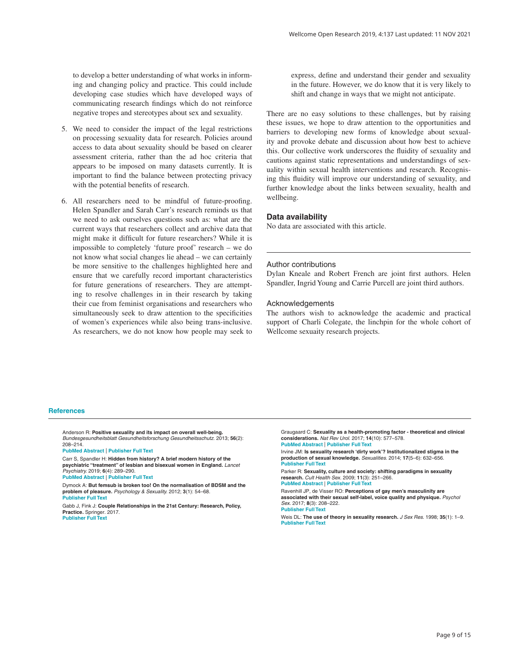<span id="page-8-0"></span>to develop a better understanding of what works in informing and changing policy and practice. This could include developing case studies which have developed ways of communicating research findings which do not reinforce negative tropes and stereotypes about sex and sexuality.

- 5. We need to consider the impact of the legal restrictions on processing sexuality data for research. Policies around access to data about sexuality should be based on clearer assessment criteria, rather than the ad hoc criteria that appears to be imposed on many datasets currently. It is important to find the balance between protecting privacy with the potential benefits of research.
- 6. All researchers need to be mindful of future-proofing. Helen Spandler and Sarah Carr's research reminds us that we need to ask ourselves questions such as: what are the current ways that researchers collect and archive data that might make it difficult for future researchers? While it is impossible to completely 'future proof' research – we do not know what social changes lie ahead – we can certainly be more sensitive to the challenges highlighted here and ensure that we carefully record important characteristics for future generations of researchers. They are attempting to resolve challenges in in their research by taking their cue from feminist organisations and researchers who simultaneously seek to draw attention to the specificities of women's experiences while also being trans-inclusive. As researchers, we do not know how people may seek to

express, define and understand their gender and sexuality in the future. However, we do know that it is very likely to shift and change in ways that we might not anticipate.

There are no easy solutions to these challenges, but by raising these issues, we hope to draw attention to the opportunities and barriers to developing new forms of knowledge about sexuality and provoke debate and discussion about how best to achieve this. Our collective work underscores the fluidity of sexuality and cautions against static representations and understandings of sexuality within sexual health interventions and research. Recognising this fluidity will improve our understanding of sexuality, and further knowledge about the links between sexuality, health and wellbeing.

### **Data availability**

No data are associated with this article.

### Author contributions

Dylan Kneale and Robert French are joint first authors. Helen Spandler, Ingrid Young and Carrie Purcell are joint third authors.

#### Acknowledgements

The authors wish to acknowledge the academic and practical support of Charli Colegate, the linchpin for the whole cohort of Wellcome sexuaity research projects.

#### **References**

Anderson R: **Positive sexuality and its impact on overall well-being.** *Bundesgesundheitsblatt Gesundheitsforschung Gesundheitsschutz.* 2013; **56**(2): 208–214.

#### **[PubMed Abstract](http://www.ncbi.nlm.nih.gov/pubmed/23361205)** | **[Publisher Full Text](http://dx.doi.org/10.1007/s00103-012-1607-z)**

Carr S, Spandler H: **Hidden from history? A brief modern history of the psychiatric "treatment" of lesbian and bisexual women in England.** *Lancet Psychiatry.* 2019; **6**(4): 289–290. **[PubMed Abstract](http://www.ncbi.nlm.nih.gov/pubmed/30765328)** | **[Publisher Full Text](http://dx.doi.org/10.1016/S2215-0366(19)30059-8)**

Dymock A: **But femsub is broken too! On the normalisation of BDSM and the problem of pleasure.** *Psychology & Sexuality.* 2012; **3**(1): 54–68. **[Publisher Full Text](http://dx.doi.org/10.1080/19419899.2011.627696)**

Gabb J, Fink J: **Couple Relationships in the 21st Century: Research, Policy, Practice.** Springer. 2017. **[Publisher Full Text](http://dx.doi.org/10.1007/978-3-319-59698-3)**

Graugaard C: **Sexuality as a health-promoting factor - theoretical and clinical considerations.** *Nat Rev Urol.* 2017; **14**(10): 577–578. **[PubMed Abstract](http://www.ncbi.nlm.nih.gov/pubmed/28720864)** | **[Publisher Full Text](http://dx.doi.org/10.1038/nrurol.2017.117)**

Irvine JM: **Is sexuality research 'dirty work'? Institutionalized stigma in the production of sexual knowledge.** *Sexualities.* 2014; **17**(5–6): 632–656. **[Publisher Full Text](http://dx.doi.org/10.1177/1363460713516338)**

Parker R: **Sexuality, culture and society: shifting paradigms in sexuality research.** *Cult Health Sex.* 2009; **11**(3): 251–266.

**[PubMed Abstract](http://www.ncbi.nlm.nih.gov/pubmed/18608345)** | **[Publisher Full Text](http://dx.doi.org/10.1080/13691050701606941)**

Ravenhill JP, de Visser RO: **Perceptions of gay men's masculinity are associated with their sexual self-label, voice quality and physique.** *Psychol Sex.* 2017; **8**(3): 208–222. **[Publisher Full Text](http://dx.doi.org/10.1080/19419899.2017.1343746)**

Weis DL: **The use of theory in sexuality research.** *J Sex Res.* 1998; **35**(1): 1–9. **[Publisher Full Text](http://dx.doi.org/10.1080/00224499809551912)**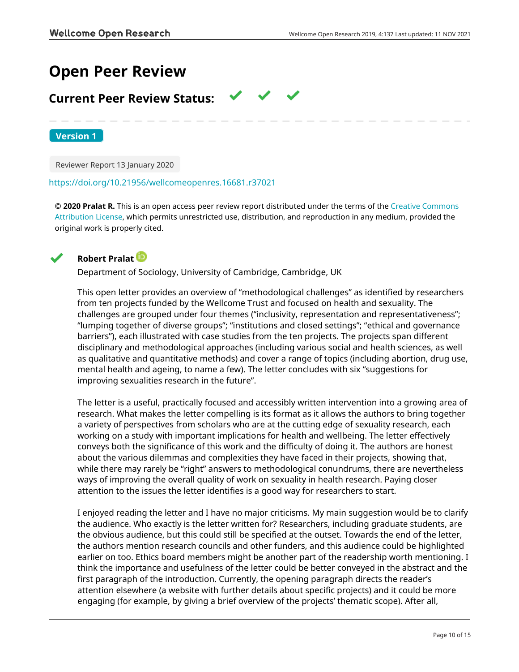# **Open Peer Review**

## **Current Peer Review Status:**

**Version 1**

Reviewer Report 13 January 2020

<https://doi.org/10.21956/wellcomeopenres.16681.r37021>

**© 2020 Pralat R.** This is an open access peer review report distributed under the terms of the [Creative Commons](https://creativecommons.org/licenses/by/4.0/) [Attribution License](https://creativecommons.org/licenses/by/4.0/), which permits unrestricted use, distribution, and reproduction in any medium, provided the original work is properly cited.



## **Robert Pralat**

Department of Sociology, University of Cambridge, Cambridge, UK

This open letter provides an overview of "methodological challenges" as identified by researchers from ten projects funded by the Wellcome Trust and focused on health and sexuality. The challenges are grouped under four themes ("inclusivity, representation and representativeness"; "lumping together of diverse groups"; "institutions and closed settings"; "ethical and governance barriers"), each illustrated with case studies from the ten projects. The projects span different disciplinary and methodological approaches (including various social and health sciences, as well as qualitative and quantitative methods) and cover a range of topics (including abortion, drug use, mental health and ageing, to name a few). The letter concludes with six "suggestions for improving sexualities research in the future".

The letter is a useful, practically focused and accessibly written intervention into a growing area of research. What makes the letter compelling is its format as it allows the authors to bring together a variety of perspectives from scholars who are at the cutting edge of sexuality research, each working on a study with important implications for health and wellbeing. The letter effectively conveys both the significance of this work and the difficulty of doing it. The authors are honest about the various dilemmas and complexities they have faced in their projects, showing that, while there may rarely be "right" answers to methodological conundrums, there are nevertheless ways of improving the overall quality of work on sexuality in health research. Paying closer attention to the issues the letter identifies is a good way for researchers to start.

I enjoyed reading the letter and I have no major criticisms. My main suggestion would be to clarify the audience. Who exactly is the letter written for? Researchers, including graduate students, are the obvious audience, but this could still be specified at the outset. Towards the end of the letter, the authors mention research councils and other funders, and this audience could be highlighted earlier on too. Ethics board members might be another part of the readership worth mentioning. I think the importance and usefulness of the letter could be better conveyed in the abstract and the first paragraph of the introduction. Currently, the opening paragraph directs the reader's attention elsewhere (a website with further details about specific projects) and it could be more engaging (for example, by giving a brief overview of the projects' thematic scope). After all,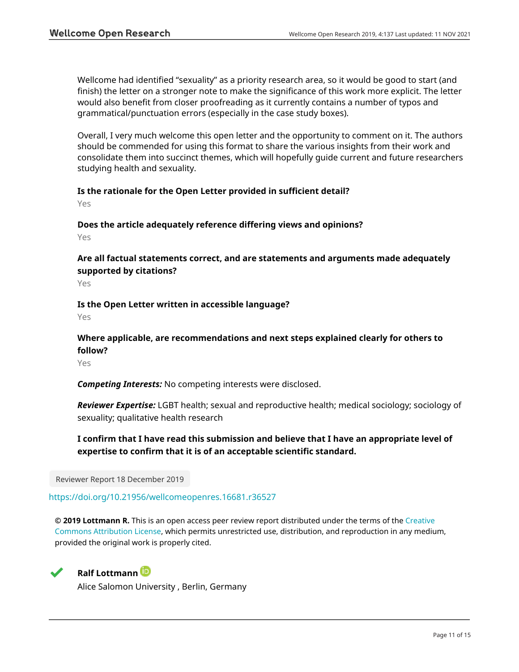Wellcome had identified "sexuality" as a priority research area, so it would be good to start (and finish) the letter on a stronger note to make the significance of this work more explicit. The letter would also benefit from closer proofreading as it currently contains a number of typos and grammatical/punctuation errors (especially in the case study boxes).

Overall, I very much welcome this open letter and the opportunity to comment on it. The authors should be commended for using this format to share the various insights from their work and consolidate them into succinct themes, which will hopefully guide current and future researchers studying health and sexuality.

## **Is the rationale for the Open Letter provided in sufficient detail?**

Yes

**Does the article adequately reference differing views and opinions?**

Yes

## **Are all factual statements correct, and are statements and arguments made adequately supported by citations?**

Yes

## **Is the Open Letter written in accessible language?**

Yes

## **Where applicable, are recommendations and next steps explained clearly for others to follow?**

Yes

*Competing Interests:* No competing interests were disclosed.

*Reviewer Expertise:* LGBT health; sexual and reproductive health; medical sociology; sociology of sexuality; qualitative health research

## **I confirm that I have read this submission and believe that I have an appropriate level of expertise to confirm that it is of an acceptable scientific standard.**

Reviewer Report 18 December 2019

## <https://doi.org/10.21956/wellcomeopenres.16681.r36527>

**© 2019 Lottmann R.** This is an open access peer review report distributed under the terms of the [Creative](https://creativecommons.org/licenses/by/4.0/) [Commons Attribution License](https://creativecommons.org/licenses/by/4.0/), which permits unrestricted use, distribution, and reproduction in any medium, provided the original work is properly cited.



## **Ralf Lottmann**

Alice Salomon University , Berlin, Germany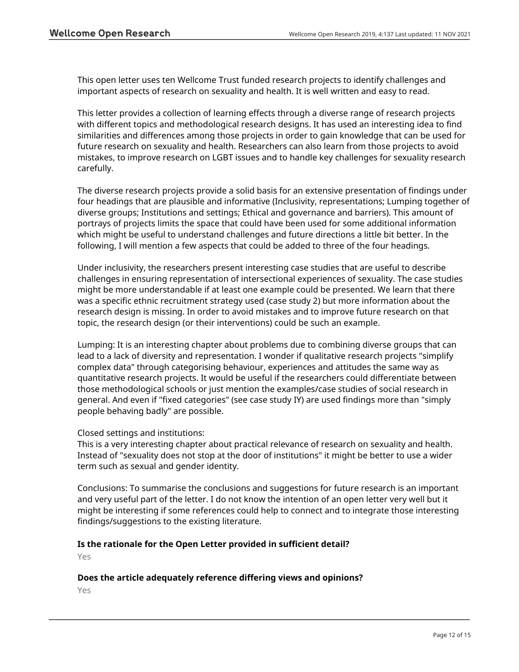This open letter uses ten Wellcome Trust funded research projects to identify challenges and important aspects of research on sexuality and health. It is well written and easy to read.

This letter provides a collection of learning effects through a diverse range of research projects with different topics and methodological research designs. It has used an interesting idea to find similarities and differences among those projects in order to gain knowledge that can be used for future research on sexuality and health. Researchers can also learn from those projects to avoid mistakes, to improve research on LGBT issues and to handle key challenges for sexuality research carefully.

The diverse research projects provide a solid basis for an extensive presentation of findings under four headings that are plausible and informative (Inclusivity, representations; Lumping together of diverse groups; Institutions and settings; Ethical and governance and barriers). This amount of portrays of projects limits the space that could have been used for some additional information which might be useful to understand challenges and future directions a little bit better. In the following, I will mention a few aspects that could be added to three of the four headings.

Under inclusivity, the researchers present interesting case studies that are useful to describe challenges in ensuring representation of intersectional experiences of sexuality. The case studies might be more understandable if at least one example could be presented. We learn that there was a specific ethnic recruitment strategy used (case study 2) but more information about the research design is missing. In order to avoid mistakes and to improve future research on that topic, the research design (or their interventions) could be such an example.

Lumping: It is an interesting chapter about problems due to combining diverse groups that can lead to a lack of diversity and representation. I wonder if qualitative research projects "simplify complex data" through categorising behaviour, experiences and attitudes the same way as quantitative research projects. It would be useful if the researchers could differentiate between those methodological schools or just mention the examples/case studies of social research in general. And even if "fixed categories" (see case study IY) are used findings more than "simply people behaving badly" are possible.

## Closed settings and institutions:

This is a very interesting chapter about practical relevance of research on sexuality and health. Instead of "sexuality does not stop at the door of institutions" it might be better to use a wider term such as sexual and gender identity.

Conclusions: To summarise the conclusions and suggestions for future research is an important and very useful part of the letter. I do not know the intention of an open letter very well but it might be interesting if some references could help to connect and to integrate those interesting findings/suggestions to the existing literature.

## **Is the rationale for the Open Letter provided in sufficient detail?**

Yes

## **Does the article adequately reference differing views and opinions?**

Yes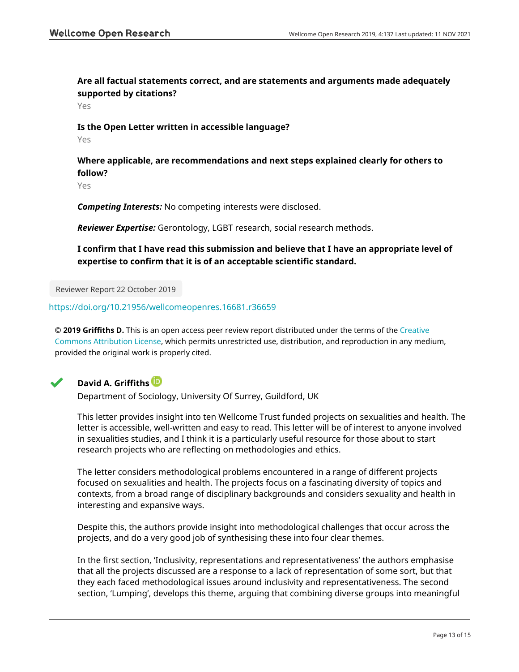**Are all factual statements correct, and are statements and arguments made adequately supported by citations?**

Yes

## **Is the Open Letter written in accessible language?**

Yes

**Where applicable, are recommendations and next steps explained clearly for others to follow?**

Yes

*Competing Interests:* No competing interests were disclosed.

*Reviewer Expertise:* Gerontology, LGBT research, social research methods.

**I confirm that I have read this submission and believe that I have an appropriate level of expertise to confirm that it is of an acceptable scientific standard.**

Reviewer Report 22 October 2019

<https://doi.org/10.21956/wellcomeopenres.16681.r36659>

**© 2019 Griffiths D.** This is an open access peer review report distributed under the terms of the [Creative](https://creativecommons.org/licenses/by/4.0/) [Commons Attribution License](https://creativecommons.org/licenses/by/4.0/), which permits unrestricted use, distribution, and reproduction in any medium, provided the original work is properly cited.



## **David A. Griffiths**

Department of Sociology, University Of Surrey, Guildford, UK

This letter provides insight into ten Wellcome Trust funded projects on sexualities and health. The letter is accessible, well-written and easy to read. This letter will be of interest to anyone involved in sexualities studies, and I think it is a particularly useful resource for those about to start research projects who are reflecting on methodologies and ethics.

The letter considers methodological problems encountered in a range of different projects focused on sexualities and health. The projects focus on a fascinating diversity of topics and contexts, from a broad range of disciplinary backgrounds and considers sexuality and health in interesting and expansive ways.

Despite this, the authors provide insight into methodological challenges that occur across the projects, and do a very good job of synthesising these into four clear themes.

In the first section, 'Inclusivity, representations and representativeness' the authors emphasise that all the projects discussed are a response to a lack of representation of some sort, but that they each faced methodological issues around inclusivity and representativeness. The second section, 'Lumping', develops this theme, arguing that combining diverse groups into meaningful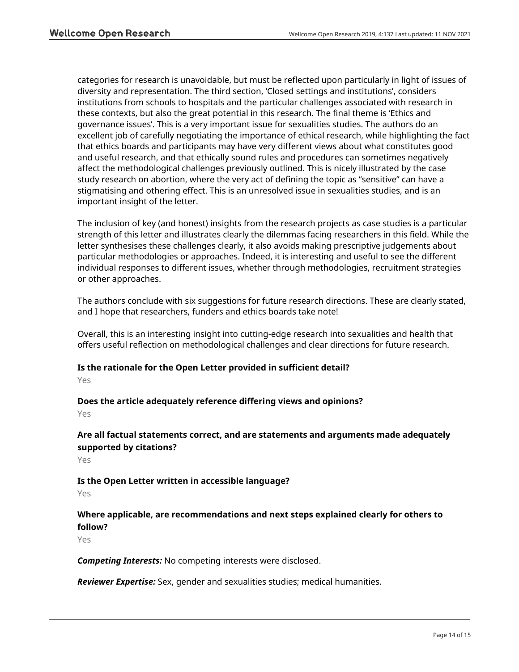categories for research is unavoidable, but must be reflected upon particularly in light of issues of diversity and representation. The third section, 'Closed settings and institutions', considers institutions from schools to hospitals and the particular challenges associated with research in these contexts, but also the great potential in this research. The final theme is 'Ethics and governance issues'. This is a very important issue for sexualities studies. The authors do an excellent job of carefully negotiating the importance of ethical research, while highlighting the fact that ethics boards and participants may have very different views about what constitutes good and useful research, and that ethically sound rules and procedures can sometimes negatively affect the methodological challenges previously outlined. This is nicely illustrated by the case study research on abortion, where the very act of defining the topic as "sensitive" can have a stigmatising and othering effect. This is an unresolved issue in sexualities studies, and is an important insight of the letter.

The inclusion of key (and honest) insights from the research projects as case studies is a particular strength of this letter and illustrates clearly the dilemmas facing researchers in this field. While the letter synthesises these challenges clearly, it also avoids making prescriptive judgements about particular methodologies or approaches. Indeed, it is interesting and useful to see the different individual responses to different issues, whether through methodologies, recruitment strategies or other approaches.

The authors conclude with six suggestions for future research directions. These are clearly stated, and I hope that researchers, funders and ethics boards take note!

Overall, this is an interesting insight into cutting-edge research into sexualities and health that offers useful reflection on methodological challenges and clear directions for future research.

## **Is the rationale for the Open Letter provided in sufficient detail?**

Yes

### **Does the article adequately reference differing views and opinions?** Yes

## **Are all factual statements correct, and are statements and arguments made adequately supported by citations?**

Yes

## **Is the Open Letter written in accessible language?**

Yes

## **Where applicable, are recommendations and next steps explained clearly for others to follow?**

Yes

*Competing Interests:* No competing interests were disclosed.

*Reviewer Expertise:* Sex, gender and sexualities studies; medical humanities.